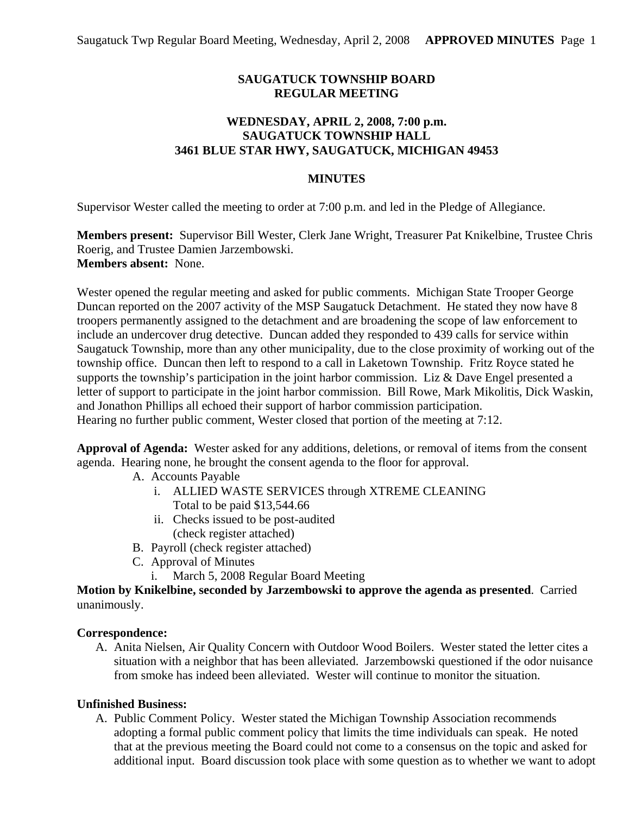# **SAUGATUCK TOWNSHIP BOARD REGULAR MEETING**

# **WEDNESDAY, APRIL 2, 2008, 7:00 p.m. SAUGATUCK TOWNSHIP HALL 3461 BLUE STAR HWY, SAUGATUCK, MICHIGAN 49453**

### **MINUTES**

Supervisor Wester called the meeting to order at 7:00 p.m. and led in the Pledge of Allegiance.

**Members present:** Supervisor Bill Wester, Clerk Jane Wright, Treasurer Pat Knikelbine, Trustee Chris Roerig, and Trustee Damien Jarzembowski. **Members absent:** None.

Wester opened the regular meeting and asked for public comments. Michigan State Trooper George Duncan reported on the 2007 activity of the MSP Saugatuck Detachment. He stated they now have 8 troopers permanently assigned to the detachment and are broadening the scope of law enforcement to include an undercover drug detective. Duncan added they responded to 439 calls for service within Saugatuck Township, more than any other municipality, due to the close proximity of working out of the township office. Duncan then left to respond to a call in Laketown Township. Fritz Royce stated he supports the township's participation in the joint harbor commission. Liz & Dave Engel presented a letter of support to participate in the joint harbor commission. Bill Rowe, Mark Mikolitis, Dick Waskin, and Jonathon Phillips all echoed their support of harbor commission participation. Hearing no further public comment, Wester closed that portion of the meeting at 7:12.

**Approval of Agenda:** Wester asked for any additions, deletions, or removal of items from the consent agenda. Hearing none, he brought the consent agenda to the floor for approval.

- A. Accounts Payable
	- i. ALLIED WASTE SERVICES through XTREME CLEANING Total to be paid \$13,544.66
	- ii. Checks issued to be post-audited (check register attached)
- B. Payroll (check register attached)
- C. Approval of Minutes
	- i. March 5, 2008 Regular Board Meeting

**Motion by Knikelbine, seconded by Jarzembowski to approve the agenda as presented**. Carried unanimously.

#### **Correspondence:**

A. Anita Nielsen, Air Quality Concern with Outdoor Wood Boilers. Wester stated the letter cites a situation with a neighbor that has been alleviated. Jarzembowski questioned if the odor nuisance from smoke has indeed been alleviated. Wester will continue to monitor the situation.

#### **Unfinished Business:**

A. Public Comment Policy. Wester stated the Michigan Township Association recommends adopting a formal public comment policy that limits the time individuals can speak. He noted that at the previous meeting the Board could not come to a consensus on the topic and asked for additional input. Board discussion took place with some question as to whether we want to adopt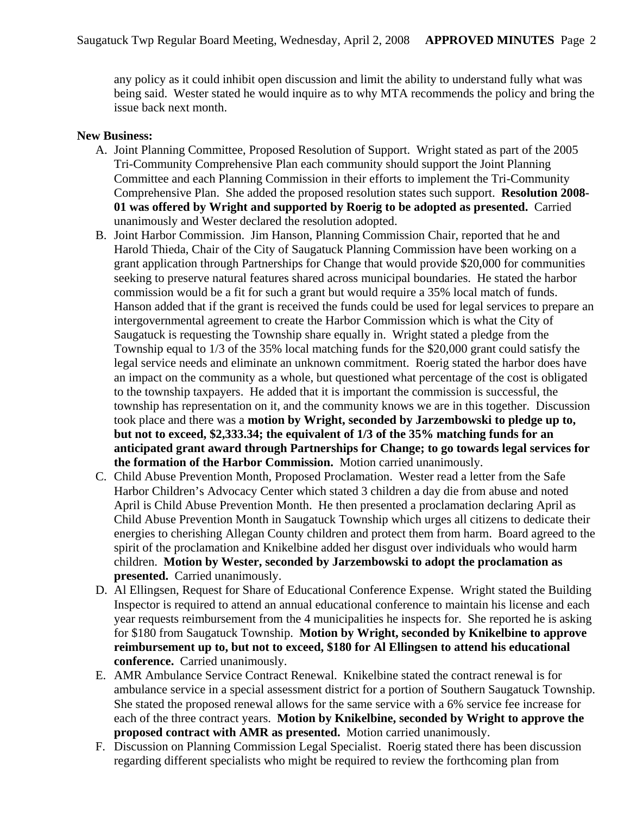any policy as it could inhibit open discussion and limit the ability to understand fully what was being said. Wester stated he would inquire as to why MTA recommends the policy and bring the issue back next month.

#### **New Business:**

- A. Joint Planning Committee, Proposed Resolution of Support. Wright stated as part of the 2005 Tri-Community Comprehensive Plan each community should support the Joint Planning Committee and each Planning Commission in their efforts to implement the Tri-Community Comprehensive Plan. She added the proposed resolution states such support. **Resolution 2008- 01 was offered by Wright and supported by Roerig to be adopted as presented.** Carried unanimously and Wester declared the resolution adopted.
- B. Joint Harbor Commission. Jim Hanson, Planning Commission Chair, reported that he and Harold Thieda, Chair of the City of Saugatuck Planning Commission have been working on a grant application through Partnerships for Change that would provide \$20,000 for communities seeking to preserve natural features shared across municipal boundaries. He stated the harbor commission would be a fit for such a grant but would require a 35% local match of funds. Hanson added that if the grant is received the funds could be used for legal services to prepare an intergovernmental agreement to create the Harbor Commission which is what the City of Saugatuck is requesting the Township share equally in. Wright stated a pledge from the Township equal to 1/3 of the 35% local matching funds for the \$20,000 grant could satisfy the legal service needs and eliminate an unknown commitment. Roerig stated the harbor does have an impact on the community as a whole, but questioned what percentage of the cost is obligated to the township taxpayers. He added that it is important the commission is successful, the township has representation on it, and the community knows we are in this together. Discussion took place and there was a **motion by Wright, seconded by Jarzembowski to pledge up to, but not to exceed, \$2,333.34; the equivalent of 1/3 of the 35% matching funds for an anticipated grant award through Partnerships for Change; to go towards legal services for the formation of the Harbor Commission.** Motion carried unanimously.
- C. Child Abuse Prevention Month, Proposed Proclamation. Wester read a letter from the Safe Harbor Children's Advocacy Center which stated 3 children a day die from abuse and noted April is Child Abuse Prevention Month. He then presented a proclamation declaring April as Child Abuse Prevention Month in Saugatuck Township which urges all citizens to dedicate their energies to cherishing Allegan County children and protect them from harm. Board agreed to the spirit of the proclamation and Knikelbine added her disgust over individuals who would harm children. **Motion by Wester, seconded by Jarzembowski to adopt the proclamation as presented.** Carried unanimously.
- D. Al Ellingsen, Request for Share of Educational Conference Expense. Wright stated the Building Inspector is required to attend an annual educational conference to maintain his license and each year requests reimbursement from the 4 municipalities he inspects for. She reported he is asking for \$180 from Saugatuck Township. **Motion by Wright, seconded by Knikelbine to approve reimbursement up to, but not to exceed, \$180 for Al Ellingsen to attend his educational conference.** Carried unanimously.
- E. AMR Ambulance Service Contract Renewal. Knikelbine stated the contract renewal is for ambulance service in a special assessment district for a portion of Southern Saugatuck Township. She stated the proposed renewal allows for the same service with a 6% service fee increase for each of the three contract years. **Motion by Knikelbine, seconded by Wright to approve the proposed contract with AMR as presented.** Motion carried unanimously.
- F. Discussion on Planning Commission Legal Specialist. Roerig stated there has been discussion regarding different specialists who might be required to review the forthcoming plan from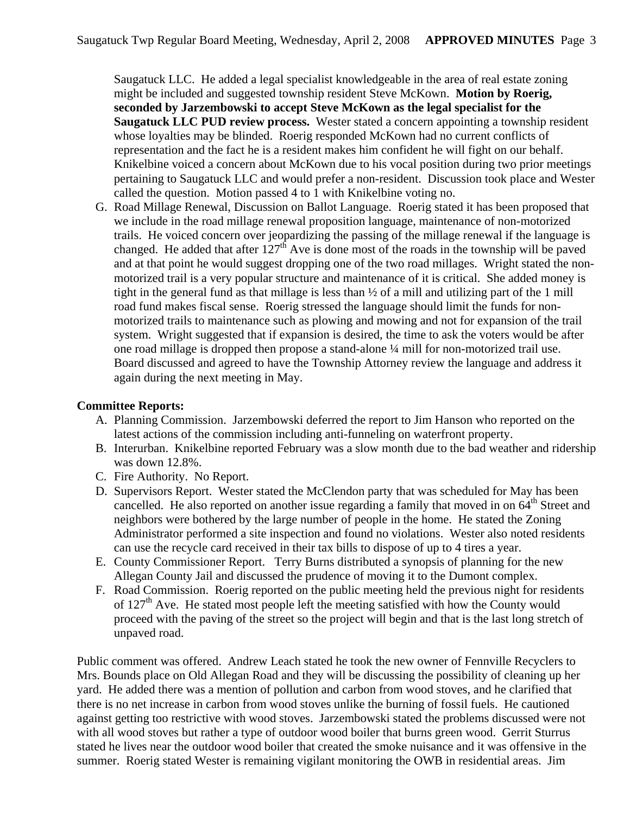Saugatuck LLC. He added a legal specialist knowledgeable in the area of real estate zoning might be included and suggested township resident Steve McKown. **Motion by Roerig, seconded by Jarzembowski to accept Steve McKown as the legal specialist for the Saugatuck LLC PUD review process.** Wester stated a concern appointing a township resident whose loyalties may be blinded. Roerig responded McKown had no current conflicts of representation and the fact he is a resident makes him confident he will fight on our behalf. Knikelbine voiced a concern about McKown due to his vocal position during two prior meetings pertaining to Saugatuck LLC and would prefer a non-resident. Discussion took place and Wester called the question. Motion passed 4 to 1 with Knikelbine voting no.

G. Road Millage Renewal, Discussion on Ballot Language. Roerig stated it has been proposed that we include in the road millage renewal proposition language, maintenance of non-motorized trails. He voiced concern over jeopardizing the passing of the millage renewal if the language is changed. He added that after  $127<sup>th</sup>$  Ave is done most of the roads in the township will be paved and at that point he would suggest dropping one of the two road millages. Wright stated the nonmotorized trail is a very popular structure and maintenance of it is critical. She added money is tight in the general fund as that millage is less than  $\frac{1}{2}$  of a mill and utilizing part of the 1 mill road fund makes fiscal sense. Roerig stressed the language should limit the funds for nonmotorized trails to maintenance such as plowing and mowing and not for expansion of the trail system. Wright suggested that if expansion is desired, the time to ask the voters would be after one road millage is dropped then propose a stand-alone ¼ mill for non-motorized trail use. Board discussed and agreed to have the Township Attorney review the language and address it again during the next meeting in May.

### **Committee Reports:**

- A. Planning Commission. Jarzembowski deferred the report to Jim Hanson who reported on the latest actions of the commission including anti-funneling on waterfront property.
- B. Interurban. Knikelbine reported February was a slow month due to the bad weather and ridership was down 12.8%.
- C. Fire Authority. No Report.
- D. Supervisors Report. Wester stated the McClendon party that was scheduled for May has been cancelled. He also reported on another issue regarding a family that moved in on  $64<sup>th</sup>$  Street and neighbors were bothered by the large number of people in the home. He stated the Zoning Administrator performed a site inspection and found no violations. Wester also noted residents can use the recycle card received in their tax bills to dispose of up to 4 tires a year.
- E. County Commissioner Report. Terry Burns distributed a synopsis of planning for the new Allegan County Jail and discussed the prudence of moving it to the Dumont complex.
- F. Road Commission. Roerig reported on the public meeting held the previous night for residents of  $127<sup>th</sup>$  Ave. He stated most people left the meeting satisfied with how the County would proceed with the paving of the street so the project will begin and that is the last long stretch of unpaved road.

Public comment was offered. Andrew Leach stated he took the new owner of Fennville Recyclers to Mrs. Bounds place on Old Allegan Road and they will be discussing the possibility of cleaning up her yard. He added there was a mention of pollution and carbon from wood stoves, and he clarified that there is no net increase in carbon from wood stoves unlike the burning of fossil fuels. He cautioned against getting too restrictive with wood stoves. Jarzembowski stated the problems discussed were not with all wood stoves but rather a type of outdoor wood boiler that burns green wood. Gerrit Sturrus stated he lives near the outdoor wood boiler that created the smoke nuisance and it was offensive in the summer. Roerig stated Wester is remaining vigilant monitoring the OWB in residential areas. Jim